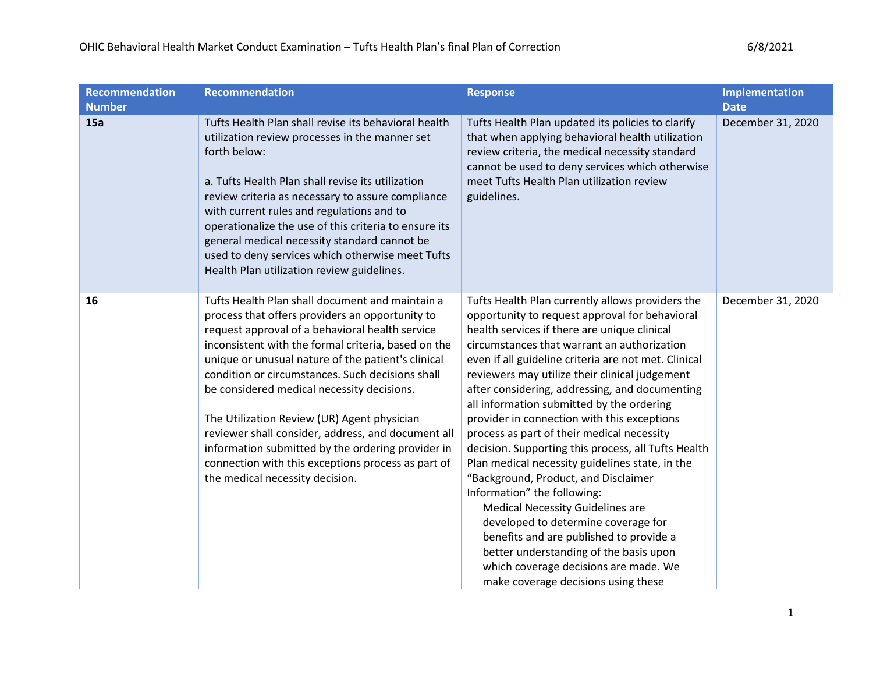| <b>Recommendation</b><br><b>Number</b> | <b>Recommendation</b>                                                                                                                                                                                                                                                                                                                                                                                                                                                                                                                                                                                                   | <b>Response</b>                                                                                                                                                                                                                                                                                                                                                                                                                                                                                                                                                                                                                                                                                                                                                                                                                                                                                                                                 | Implementation<br><b>Date</b> |
|----------------------------------------|-------------------------------------------------------------------------------------------------------------------------------------------------------------------------------------------------------------------------------------------------------------------------------------------------------------------------------------------------------------------------------------------------------------------------------------------------------------------------------------------------------------------------------------------------------------------------------------------------------------------------|-------------------------------------------------------------------------------------------------------------------------------------------------------------------------------------------------------------------------------------------------------------------------------------------------------------------------------------------------------------------------------------------------------------------------------------------------------------------------------------------------------------------------------------------------------------------------------------------------------------------------------------------------------------------------------------------------------------------------------------------------------------------------------------------------------------------------------------------------------------------------------------------------------------------------------------------------|-------------------------------|
| 15a                                    | Tufts Health Plan shall revise its behavioral health<br>utilization review processes in the manner set<br>forth below:<br>a. Tufts Health Plan shall revise its utilization<br>review criteria as necessary to assure compliance<br>with current rules and regulations and to<br>operationalize the use of this criteria to ensure its<br>general medical necessity standard cannot be<br>used to deny services which otherwise meet Tufts<br>Health Plan utilization review guidelines.                                                                                                                                | Tufts Health Plan updated its policies to clarify<br>that when applying behavioral health utilization<br>review criteria, the medical necessity standard<br>cannot be used to deny services which otherwise<br>meet Tufts Health Plan utilization review<br>guidelines.                                                                                                                                                                                                                                                                                                                                                                                                                                                                                                                                                                                                                                                                         | December 31, 2020             |
| 16                                     | Tufts Health Plan shall document and maintain a<br>process that offers providers an opportunity to<br>request approval of a behavioral health service<br>inconsistent with the formal criteria, based on the<br>unique or unusual nature of the patient's clinical<br>condition or circumstances. Such decisions shall<br>be considered medical necessity decisions.<br>The Utilization Review (UR) Agent physician<br>reviewer shall consider, address, and document all<br>information submitted by the ordering provider in<br>connection with this exceptions process as part of<br>the medical necessity decision. | Tufts Health Plan currently allows providers the<br>opportunity to request approval for behavioral<br>health services if there are unique clinical<br>circumstances that warrant an authorization<br>even if all guideline criteria are not met. Clinical<br>reviewers may utilize their clinical judgement<br>after considering, addressing, and documenting<br>all information submitted by the ordering<br>provider in connection with this exceptions<br>process as part of their medical necessity<br>decision. Supporting this process, all Tufts Health<br>Plan medical necessity guidelines state, in the<br>"Background, Product, and Disclaimer<br>Information" the following:<br><b>Medical Necessity Guidelines are</b><br>developed to determine coverage for<br>benefits and are published to provide a<br>better understanding of the basis upon<br>which coverage decisions are made. We<br>make coverage decisions using these | December 31, 2020             |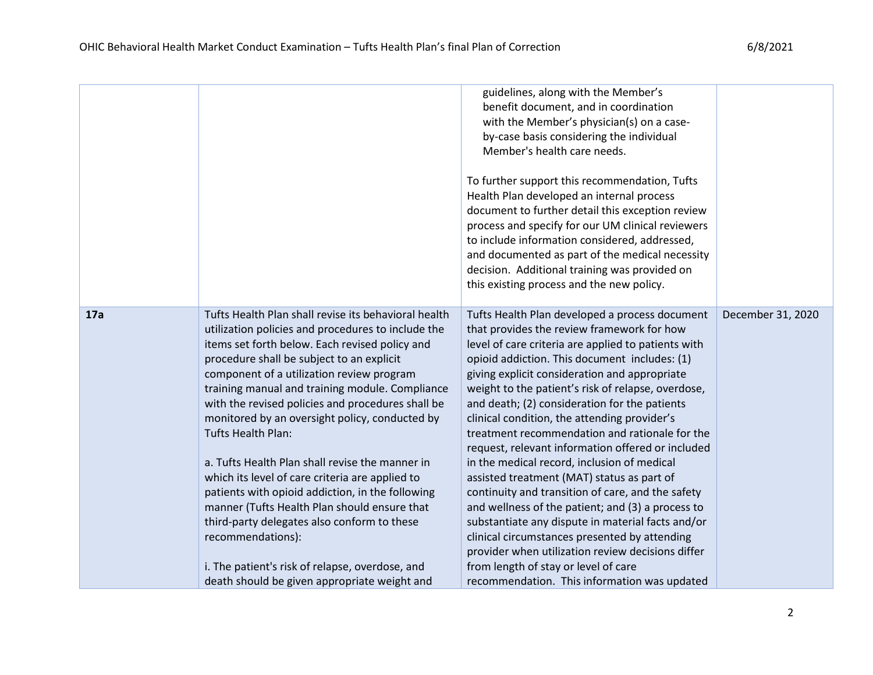|     |                                                                                                                                                                                                                                                                                                                                                                                                                                                                                                                                                                                                                                                                                                                                                                                                                         | guidelines, along with the Member's<br>benefit document, and in coordination<br>with the Member's physician(s) on a case-<br>by-case basis considering the individual<br>Member's health care needs.<br>To further support this recommendation, Tufts<br>Health Plan developed an internal process<br>document to further detail this exception review<br>process and specify for our UM clinical reviewers<br>to include information considered, addressed,<br>and documented as part of the medical necessity<br>decision. Additional training was provided on<br>this existing process and the new policy.                                                                                                                                                                                                                                                                                                                                                                 |                   |
|-----|-------------------------------------------------------------------------------------------------------------------------------------------------------------------------------------------------------------------------------------------------------------------------------------------------------------------------------------------------------------------------------------------------------------------------------------------------------------------------------------------------------------------------------------------------------------------------------------------------------------------------------------------------------------------------------------------------------------------------------------------------------------------------------------------------------------------------|-------------------------------------------------------------------------------------------------------------------------------------------------------------------------------------------------------------------------------------------------------------------------------------------------------------------------------------------------------------------------------------------------------------------------------------------------------------------------------------------------------------------------------------------------------------------------------------------------------------------------------------------------------------------------------------------------------------------------------------------------------------------------------------------------------------------------------------------------------------------------------------------------------------------------------------------------------------------------------|-------------------|
| 17a | Tufts Health Plan shall revise its behavioral health<br>utilization policies and procedures to include the<br>items set forth below. Each revised policy and<br>procedure shall be subject to an explicit<br>component of a utilization review program<br>training manual and training module. Compliance<br>with the revised policies and procedures shall be<br>monitored by an oversight policy, conducted by<br>Tufts Health Plan:<br>a. Tufts Health Plan shall revise the manner in<br>which its level of care criteria are applied to<br>patients with opioid addiction, in the following<br>manner (Tufts Health Plan should ensure that<br>third-party delegates also conform to these<br>recommendations):<br>i. The patient's risk of relapse, overdose, and<br>death should be given appropriate weight and | Tufts Health Plan developed a process document<br>that provides the review framework for how<br>level of care criteria are applied to patients with<br>opioid addiction. This document includes: (1)<br>giving explicit consideration and appropriate<br>weight to the patient's risk of relapse, overdose,<br>and death; (2) consideration for the patients<br>clinical condition, the attending provider's<br>treatment recommendation and rationale for the<br>request, relevant information offered or included<br>in the medical record, inclusion of medical<br>assisted treatment (MAT) status as part of<br>continuity and transition of care, and the safety<br>and wellness of the patient; and (3) a process to<br>substantiate any dispute in material facts and/or<br>clinical circumstances presented by attending<br>provider when utilization review decisions differ<br>from length of stay or level of care<br>recommendation. This information was updated | December 31, 2020 |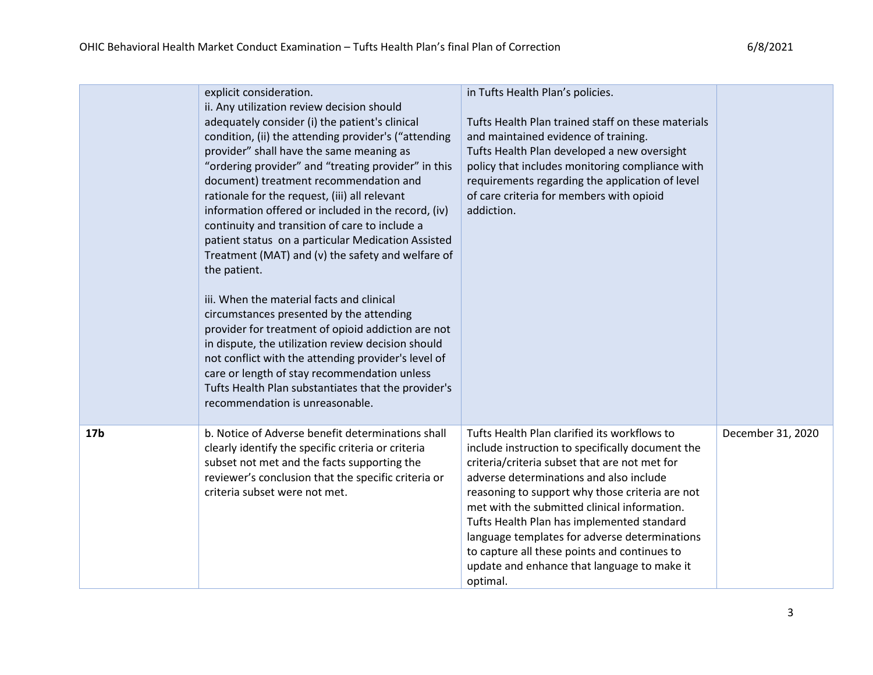|                 | explicit consideration.<br>ii. Any utilization review decision should<br>adequately consider (i) the patient's clinical<br>condition, (ii) the attending provider's ("attending<br>provider" shall have the same meaning as<br>"ordering provider" and "treating provider" in this<br>document) treatment recommendation and<br>rationale for the request, (iii) all relevant<br>information offered or included in the record, (iv)<br>continuity and transition of care to include a<br>patient status on a particular Medication Assisted<br>Treatment (MAT) and (v) the safety and welfare of<br>the patient.<br>iii. When the material facts and clinical<br>circumstances presented by the attending<br>provider for treatment of opioid addiction are not<br>in dispute, the utilization review decision should<br>not conflict with the attending provider's level of<br>care or length of stay recommendation unless<br>Tufts Health Plan substantiates that the provider's<br>recommendation is unreasonable. | in Tufts Health Plan's policies.<br>Tufts Health Plan trained staff on these materials<br>and maintained evidence of training.<br>Tufts Health Plan developed a new oversight<br>policy that includes monitoring compliance with<br>requirements regarding the application of level<br>of care criteria for members with opioid<br>addiction.                                                                                                                                                             |                   |
|-----------------|-------------------------------------------------------------------------------------------------------------------------------------------------------------------------------------------------------------------------------------------------------------------------------------------------------------------------------------------------------------------------------------------------------------------------------------------------------------------------------------------------------------------------------------------------------------------------------------------------------------------------------------------------------------------------------------------------------------------------------------------------------------------------------------------------------------------------------------------------------------------------------------------------------------------------------------------------------------------------------------------------------------------------|-----------------------------------------------------------------------------------------------------------------------------------------------------------------------------------------------------------------------------------------------------------------------------------------------------------------------------------------------------------------------------------------------------------------------------------------------------------------------------------------------------------|-------------------|
| 17 <sub>b</sub> | b. Notice of Adverse benefit determinations shall<br>clearly identify the specific criteria or criteria<br>subset not met and the facts supporting the<br>reviewer's conclusion that the specific criteria or<br>criteria subset were not met.                                                                                                                                                                                                                                                                                                                                                                                                                                                                                                                                                                                                                                                                                                                                                                          | Tufts Health Plan clarified its workflows to<br>include instruction to specifically document the<br>criteria/criteria subset that are not met for<br>adverse determinations and also include<br>reasoning to support why those criteria are not<br>met with the submitted clinical information.<br>Tufts Health Plan has implemented standard<br>language templates for adverse determinations<br>to capture all these points and continues to<br>update and enhance that language to make it<br>optimal. | December 31, 2020 |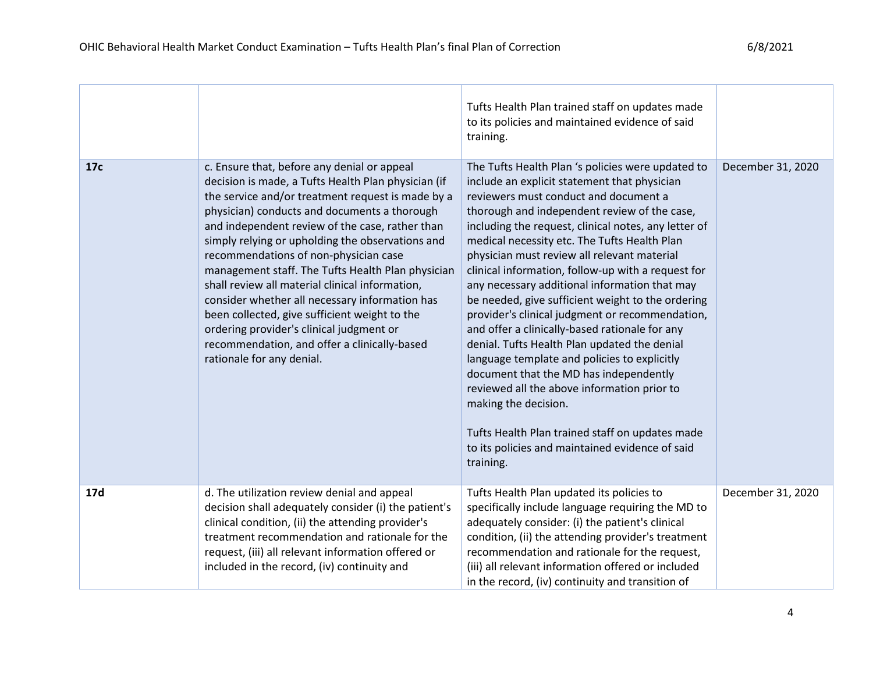|     |                                                                                                                                                                                                                                                                                                                                                                                                                                                                                                                                                                                                                                                                                             | Tufts Health Plan trained staff on updates made<br>to its policies and maintained evidence of said<br>training.                                                                                                                                                                                                                                                                                                                                                                                                                                                                                                                                                                                                                                                                                                                                                                                                                                        |                   |
|-----|---------------------------------------------------------------------------------------------------------------------------------------------------------------------------------------------------------------------------------------------------------------------------------------------------------------------------------------------------------------------------------------------------------------------------------------------------------------------------------------------------------------------------------------------------------------------------------------------------------------------------------------------------------------------------------------------|--------------------------------------------------------------------------------------------------------------------------------------------------------------------------------------------------------------------------------------------------------------------------------------------------------------------------------------------------------------------------------------------------------------------------------------------------------------------------------------------------------------------------------------------------------------------------------------------------------------------------------------------------------------------------------------------------------------------------------------------------------------------------------------------------------------------------------------------------------------------------------------------------------------------------------------------------------|-------------------|
| 17c | c. Ensure that, before any denial or appeal<br>decision is made, a Tufts Health Plan physician (if<br>the service and/or treatment request is made by a<br>physician) conducts and documents a thorough<br>and independent review of the case, rather than<br>simply relying or upholding the observations and<br>recommendations of non-physician case<br>management staff. The Tufts Health Plan physician<br>shall review all material clinical information,<br>consider whether all necessary information has<br>been collected, give sufficient weight to the<br>ordering provider's clinical judgment or<br>recommendation, and offer a clinically-based<br>rationale for any denial. | The Tufts Health Plan 's policies were updated to<br>include an explicit statement that physician<br>reviewers must conduct and document a<br>thorough and independent review of the case,<br>including the request, clinical notes, any letter of<br>medical necessity etc. The Tufts Health Plan<br>physician must review all relevant material<br>clinical information, follow-up with a request for<br>any necessary additional information that may<br>be needed, give sufficient weight to the ordering<br>provider's clinical judgment or recommendation,<br>and offer a clinically-based rationale for any<br>denial. Tufts Health Plan updated the denial<br>language template and policies to explicitly<br>document that the MD has independently<br>reviewed all the above information prior to<br>making the decision.<br>Tufts Health Plan trained staff on updates made<br>to its policies and maintained evidence of said<br>training. | December 31, 2020 |
| 17d | d. The utilization review denial and appeal<br>decision shall adequately consider (i) the patient's<br>clinical condition, (ii) the attending provider's<br>treatment recommendation and rationale for the<br>request, (iii) all relevant information offered or<br>included in the record, (iv) continuity and                                                                                                                                                                                                                                                                                                                                                                             | Tufts Health Plan updated its policies to<br>specifically include language requiring the MD to<br>adequately consider: (i) the patient's clinical<br>condition, (ii) the attending provider's treatment<br>recommendation and rationale for the request,<br>(iii) all relevant information offered or included<br>in the record, (iv) continuity and transition of                                                                                                                                                                                                                                                                                                                                                                                                                                                                                                                                                                                     | December 31, 2020 |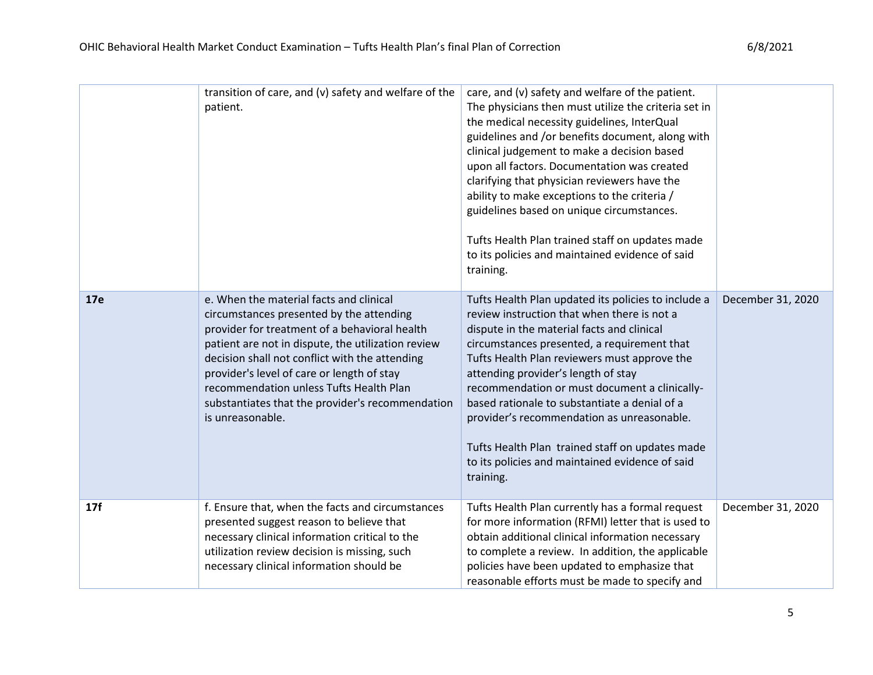|     | transition of care, and (v) safety and welfare of the<br>patient.                                                                                                                                                                                                                                                                                                                                             | care, and (v) safety and welfare of the patient.<br>The physicians then must utilize the criteria set in<br>the medical necessity guidelines, InterQual<br>guidelines and /or benefits document, along with<br>clinical judgement to make a decision based<br>upon all factors. Documentation was created<br>clarifying that physician reviewers have the<br>ability to make exceptions to the criteria /<br>guidelines based on unique circumstances.<br>Tufts Health Plan trained staff on updates made<br>to its policies and maintained evidence of said<br>training. |                   |
|-----|---------------------------------------------------------------------------------------------------------------------------------------------------------------------------------------------------------------------------------------------------------------------------------------------------------------------------------------------------------------------------------------------------------------|---------------------------------------------------------------------------------------------------------------------------------------------------------------------------------------------------------------------------------------------------------------------------------------------------------------------------------------------------------------------------------------------------------------------------------------------------------------------------------------------------------------------------------------------------------------------------|-------------------|
| 17e | e. When the material facts and clinical<br>circumstances presented by the attending<br>provider for treatment of a behavioral health<br>patient are not in dispute, the utilization review<br>decision shall not conflict with the attending<br>provider's level of care or length of stay<br>recommendation unless Tufts Health Plan<br>substantiates that the provider's recommendation<br>is unreasonable. | Tufts Health Plan updated its policies to include a<br>review instruction that when there is not a<br>dispute in the material facts and clinical<br>circumstances presented, a requirement that<br>Tufts Health Plan reviewers must approve the<br>attending provider's length of stay<br>recommendation or must document a clinically-<br>based rationale to substantiate a denial of a<br>provider's recommendation as unreasonable.<br>Tufts Health Plan trained staff on updates made<br>to its policies and maintained evidence of said<br>training.                 | December 31, 2020 |
| 17f | f. Ensure that, when the facts and circumstances<br>presented suggest reason to believe that<br>necessary clinical information critical to the<br>utilization review decision is missing, such<br>necessary clinical information should be                                                                                                                                                                    | Tufts Health Plan currently has a formal request<br>for more information (RFMI) letter that is used to<br>obtain additional clinical information necessary<br>to complete a review. In addition, the applicable<br>policies have been updated to emphasize that<br>reasonable efforts must be made to specify and                                                                                                                                                                                                                                                         | December 31, 2020 |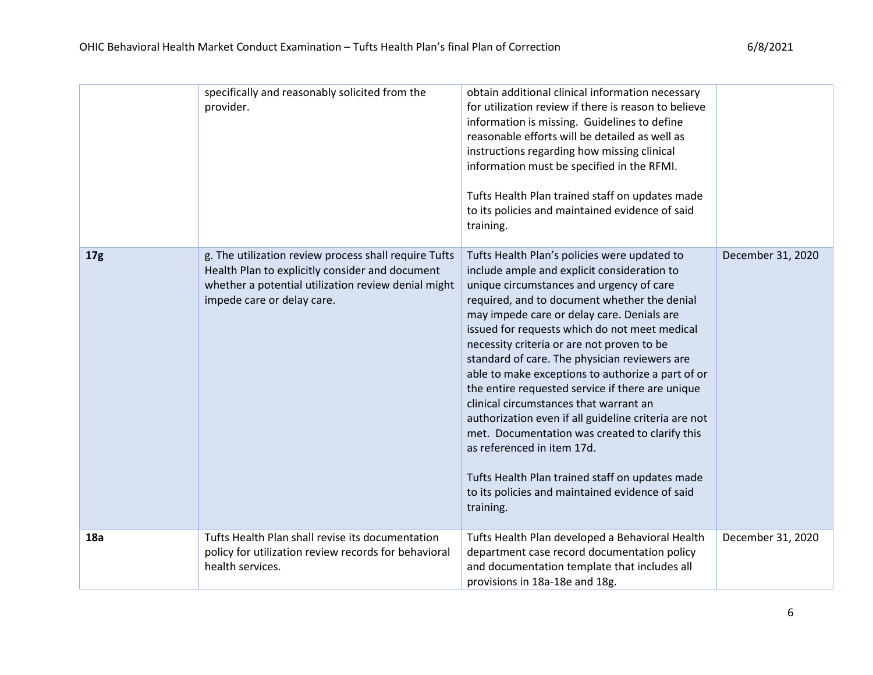|                 | specifically and reasonably solicited from the<br>provider.                                                                                                                                   | obtain additional clinical information necessary<br>for utilization review if there is reason to believe<br>information is missing. Guidelines to define<br>reasonable efforts will be detailed as well as<br>instructions regarding how missing clinical<br>information must be specified in the RFMI.<br>Tufts Health Plan trained staff on updates made<br>to its policies and maintained evidence of said<br>training.                                                                                                                                                                                                                                                                                                                                                                          |                   |
|-----------------|-----------------------------------------------------------------------------------------------------------------------------------------------------------------------------------------------|-----------------------------------------------------------------------------------------------------------------------------------------------------------------------------------------------------------------------------------------------------------------------------------------------------------------------------------------------------------------------------------------------------------------------------------------------------------------------------------------------------------------------------------------------------------------------------------------------------------------------------------------------------------------------------------------------------------------------------------------------------------------------------------------------------|-------------------|
| 17 <sub>g</sub> | g. The utilization review process shall require Tufts<br>Health Plan to explicitly consider and document<br>whether a potential utilization review denial might<br>impede care or delay care. | Tufts Health Plan's policies were updated to<br>include ample and explicit consideration to<br>unique circumstances and urgency of care<br>required, and to document whether the denial<br>may impede care or delay care. Denials are<br>issued for requests which do not meet medical<br>necessity criteria or are not proven to be<br>standard of care. The physician reviewers are<br>able to make exceptions to authorize a part of or<br>the entire requested service if there are unique<br>clinical circumstances that warrant an<br>authorization even if all guideline criteria are not<br>met. Documentation was created to clarify this<br>as referenced in item 17d.<br>Tufts Health Plan trained staff on updates made<br>to its policies and maintained evidence of said<br>training. | December 31, 2020 |
| 18a             | Tufts Health Plan shall revise its documentation<br>policy for utilization review records for behavioral<br>health services.                                                                  | Tufts Health Plan developed a Behavioral Health<br>department case record documentation policy<br>and documentation template that includes all<br>provisions in 18a-18e and 18g.                                                                                                                                                                                                                                                                                                                                                                                                                                                                                                                                                                                                                    | December 31, 2020 |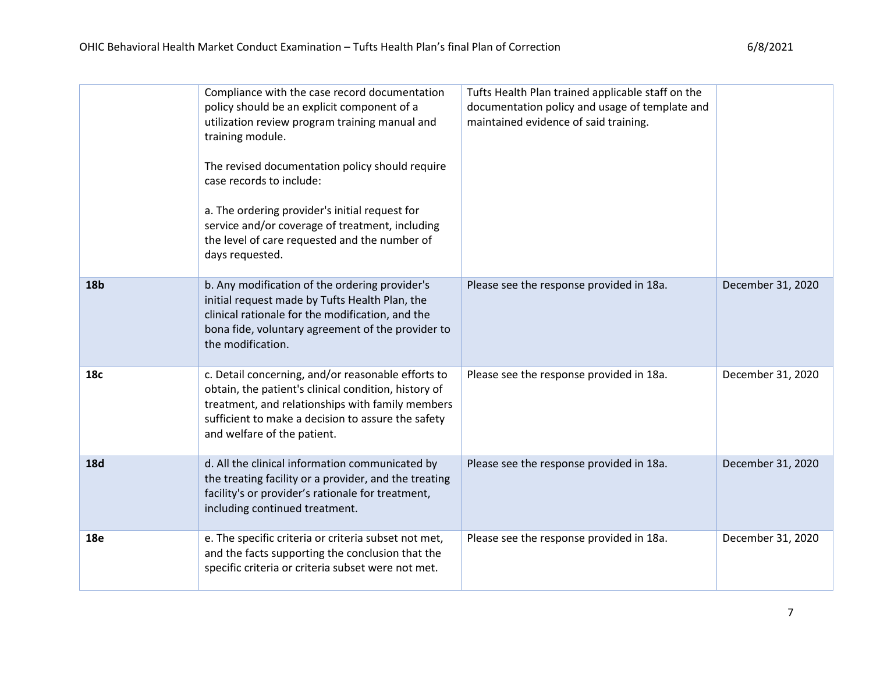|            | Compliance with the case record documentation<br>policy should be an explicit component of a<br>utilization review program training manual and<br>training module.<br>The revised documentation policy should require<br>case records to include:<br>a. The ordering provider's initial request for<br>service and/or coverage of treatment, including<br>the level of care requested and the number of<br>days requested. | Tufts Health Plan trained applicable staff on the<br>documentation policy and usage of template and<br>maintained evidence of said training. |                   |
|------------|----------------------------------------------------------------------------------------------------------------------------------------------------------------------------------------------------------------------------------------------------------------------------------------------------------------------------------------------------------------------------------------------------------------------------|----------------------------------------------------------------------------------------------------------------------------------------------|-------------------|
| <b>18b</b> | b. Any modification of the ordering provider's<br>initial request made by Tufts Health Plan, the<br>clinical rationale for the modification, and the<br>bona fide, voluntary agreement of the provider to<br>the modification.                                                                                                                                                                                             | Please see the response provided in 18a.                                                                                                     | December 31, 2020 |
| 18c        | c. Detail concerning, and/or reasonable efforts to<br>obtain, the patient's clinical condition, history of<br>treatment, and relationships with family members<br>sufficient to make a decision to assure the safety<br>and welfare of the patient.                                                                                                                                                                        | Please see the response provided in 18a.                                                                                                     | December 31, 2020 |
| <b>18d</b> | d. All the clinical information communicated by<br>the treating facility or a provider, and the treating<br>facility's or provider's rationale for treatment,<br>including continued treatment.                                                                                                                                                                                                                            | Please see the response provided in 18a.                                                                                                     | December 31, 2020 |
| <b>18e</b> | e. The specific criteria or criteria subset not met,<br>and the facts supporting the conclusion that the<br>specific criteria or criteria subset were not met.                                                                                                                                                                                                                                                             | Please see the response provided in 18a.                                                                                                     | December 31, 2020 |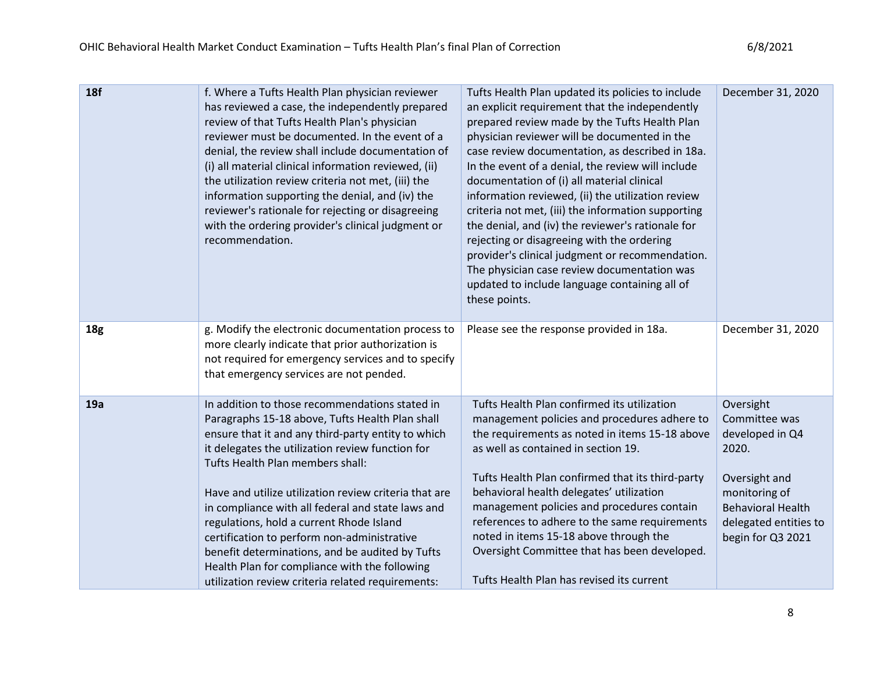| <b>18f</b>      | f. Where a Tufts Health Plan physician reviewer<br>has reviewed a case, the independently prepared<br>review of that Tufts Health Plan's physician<br>reviewer must be documented. In the event of a<br>denial, the review shall include documentation of<br>(i) all material clinical information reviewed, (ii)<br>the utilization review criteria not met, (iii) the<br>information supporting the denial, and (iv) the<br>reviewer's rationale for rejecting or disagreeing<br>with the ordering provider's clinical judgment or<br>recommendation.                                                           | Tufts Health Plan updated its policies to include<br>an explicit requirement that the independently<br>prepared review made by the Tufts Health Plan<br>physician reviewer will be documented in the<br>case review documentation, as described in 18a.<br>In the event of a denial, the review will include<br>documentation of (i) all material clinical<br>information reviewed, (ii) the utilization review<br>criteria not met, (iii) the information supporting<br>the denial, and (iv) the reviewer's rationale for<br>rejecting or disagreeing with the ordering<br>provider's clinical judgment or recommendation.<br>The physician case review documentation was<br>updated to include language containing all of<br>these points. | December 31, 2020                                                                                                                                                  |
|-----------------|-------------------------------------------------------------------------------------------------------------------------------------------------------------------------------------------------------------------------------------------------------------------------------------------------------------------------------------------------------------------------------------------------------------------------------------------------------------------------------------------------------------------------------------------------------------------------------------------------------------------|----------------------------------------------------------------------------------------------------------------------------------------------------------------------------------------------------------------------------------------------------------------------------------------------------------------------------------------------------------------------------------------------------------------------------------------------------------------------------------------------------------------------------------------------------------------------------------------------------------------------------------------------------------------------------------------------------------------------------------------------|--------------------------------------------------------------------------------------------------------------------------------------------------------------------|
| 18 <sub>g</sub> | g. Modify the electronic documentation process to<br>more clearly indicate that prior authorization is<br>not required for emergency services and to specify<br>that emergency services are not pended.                                                                                                                                                                                                                                                                                                                                                                                                           | Please see the response provided in 18a.                                                                                                                                                                                                                                                                                                                                                                                                                                                                                                                                                                                                                                                                                                     | December 31, 2020                                                                                                                                                  |
| 19a             | In addition to those recommendations stated in<br>Paragraphs 15-18 above, Tufts Health Plan shall<br>ensure that it and any third-party entity to which<br>it delegates the utilization review function for<br>Tufts Health Plan members shall:<br>Have and utilize utilization review criteria that are<br>in compliance with all federal and state laws and<br>regulations, hold a current Rhode Island<br>certification to perform non-administrative<br>benefit determinations, and be audited by Tufts<br>Health Plan for compliance with the following<br>utilization review criteria related requirements: | Tufts Health Plan confirmed its utilization<br>management policies and procedures adhere to<br>the requirements as noted in items 15-18 above<br>as well as contained in section 19.<br>Tufts Health Plan confirmed that its third-party<br>behavioral health delegates' utilization<br>management policies and procedures contain<br>references to adhere to the same requirements<br>noted in items 15-18 above through the<br>Oversight Committee that has been developed.<br>Tufts Health Plan has revised its current                                                                                                                                                                                                                   | Oversight<br>Committee was<br>developed in Q4<br>2020.<br>Oversight and<br>monitoring of<br><b>Behavioral Health</b><br>delegated entities to<br>begin for Q3 2021 |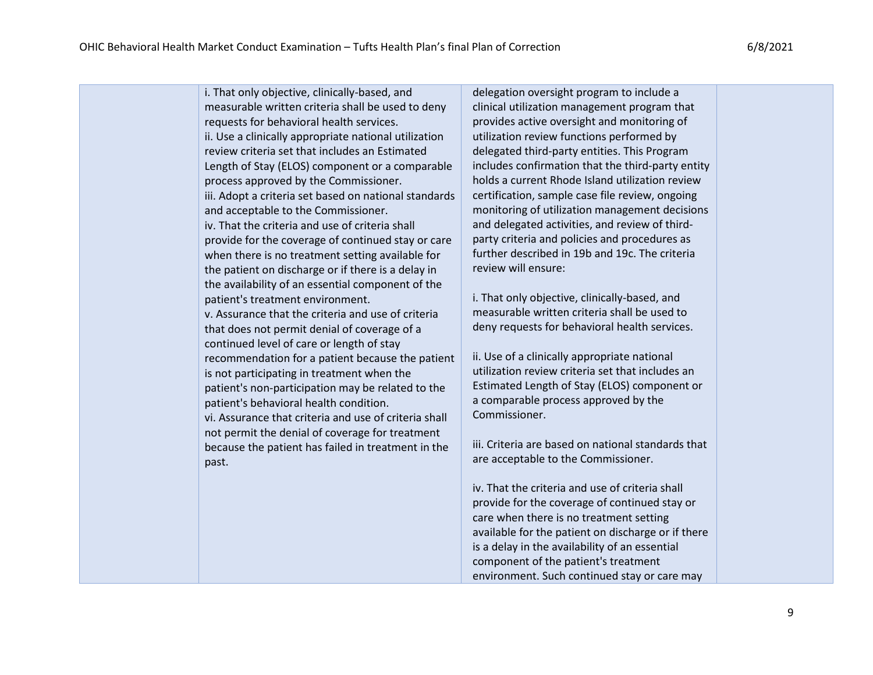i. That only objective, clinically-based, and measurable written criteria shall be used to deny requests for behavioral health services. ii. Use a clinically appropriate national utilization review criteria set that includes an Estimated Length of Stay (ELOS) component or a comparable process approved by the Commissioner. iii. Adopt a criteria set based on national standards and acceptable to the Commissioner. iv. That the criteria and use of criteria shall provide for the coverage of continued stay or care when there is no treatment setting available for the patient on discharge or if there is a delay in the availability of an essential component of the patient's treatment environment. v. Assurance that the criteria and use of criteria that does not permit denial of coverage of a continued level of care or length of stay recommendation for a patient because the patient is not participating in treatment when the patient's non-participation may be related to the patient's behavioral health condition. vi. Assurance that criteria and use of criteria shall not permit the denial of coverage for treatment because the patient has failed in treatment in the past. delegation oversight program to include a clinical utilization management program that provides active oversight and monitoring of utilization review functions performed by delegated third-party entities. This Program includes confirmation that the third-party entity holds a current Rhode Island utilization review certification, sample case file review, ongoing monitoring of utilization management decisions and delegated activities, and review of thirdparty criteria and policies and procedures as further described in 19b and 19c. The criteria review will ensure: i. That only objective, clinically-based, and measurable written criteria shall be used to deny requests for behavioral health services. ii. Use of a clinically appropriate national utilization review criteria set that includes an Estimated Length of Stay (ELOS) component or a comparable process approved by the Commissioner. iii. Criteria are based on national standards that are acceptable to the Commissioner. iv. That the criteria and use of criteria shall provide for the coverage of continued stay or care when there is no treatment setting available for the patient on discharge or if there is a delay in the availability of an essential component of the patient's treatment environment. Such continued stay or care may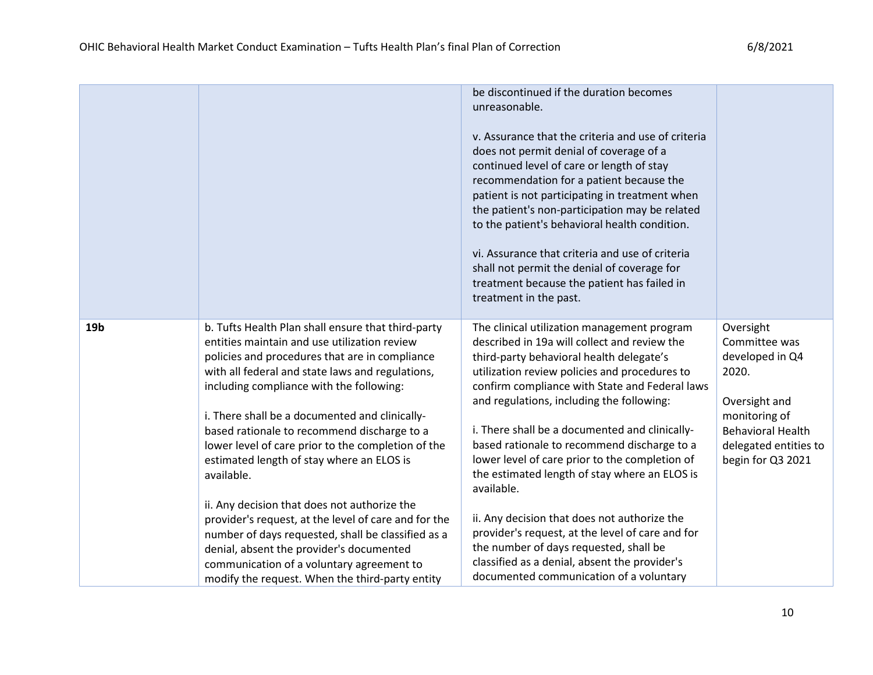|                 |                                                                                                                                                                                                                                                                                                                                                                                                                                                                                                                                                                                                                                                                                                                                                                                  | be discontinued if the duration becomes<br>unreasonable.<br>v. Assurance that the criteria and use of criteria<br>does not permit denial of coverage of a<br>continued level of care or length of stay<br>recommendation for a patient because the<br>patient is not participating in treatment when<br>the patient's non-participation may be related<br>to the patient's behavioral health condition.<br>vi. Assurance that criteria and use of criteria<br>shall not permit the denial of coverage for<br>treatment because the patient has failed in<br>treatment in the past.                                                                                                                                                                  |                                                                                                                                                                    |
|-----------------|----------------------------------------------------------------------------------------------------------------------------------------------------------------------------------------------------------------------------------------------------------------------------------------------------------------------------------------------------------------------------------------------------------------------------------------------------------------------------------------------------------------------------------------------------------------------------------------------------------------------------------------------------------------------------------------------------------------------------------------------------------------------------------|-----------------------------------------------------------------------------------------------------------------------------------------------------------------------------------------------------------------------------------------------------------------------------------------------------------------------------------------------------------------------------------------------------------------------------------------------------------------------------------------------------------------------------------------------------------------------------------------------------------------------------------------------------------------------------------------------------------------------------------------------------|--------------------------------------------------------------------------------------------------------------------------------------------------------------------|
| 19 <sub>b</sub> | b. Tufts Health Plan shall ensure that third-party<br>entities maintain and use utilization review<br>policies and procedures that are in compliance<br>with all federal and state laws and regulations,<br>including compliance with the following:<br>i. There shall be a documented and clinically-<br>based rationale to recommend discharge to a<br>lower level of care prior to the completion of the<br>estimated length of stay where an ELOS is<br>available.<br>ii. Any decision that does not authorize the<br>provider's request, at the level of care and for the<br>number of days requested, shall be classified as a<br>denial, absent the provider's documented<br>communication of a voluntary agreement to<br>modify the request. When the third-party entity | The clinical utilization management program<br>described in 19a will collect and review the<br>third-party behavioral health delegate's<br>utilization review policies and procedures to<br>confirm compliance with State and Federal laws<br>and regulations, including the following:<br>i. There shall be a documented and clinically-<br>based rationale to recommend discharge to a<br>lower level of care prior to the completion of<br>the estimated length of stay where an ELOS is<br>available.<br>ii. Any decision that does not authorize the<br>provider's request, at the level of care and for<br>the number of days requested, shall be<br>classified as a denial, absent the provider's<br>documented communication of a voluntary | Oversight<br>Committee was<br>developed in Q4<br>2020.<br>Oversight and<br>monitoring of<br><b>Behavioral Health</b><br>delegated entities to<br>begin for Q3 2021 |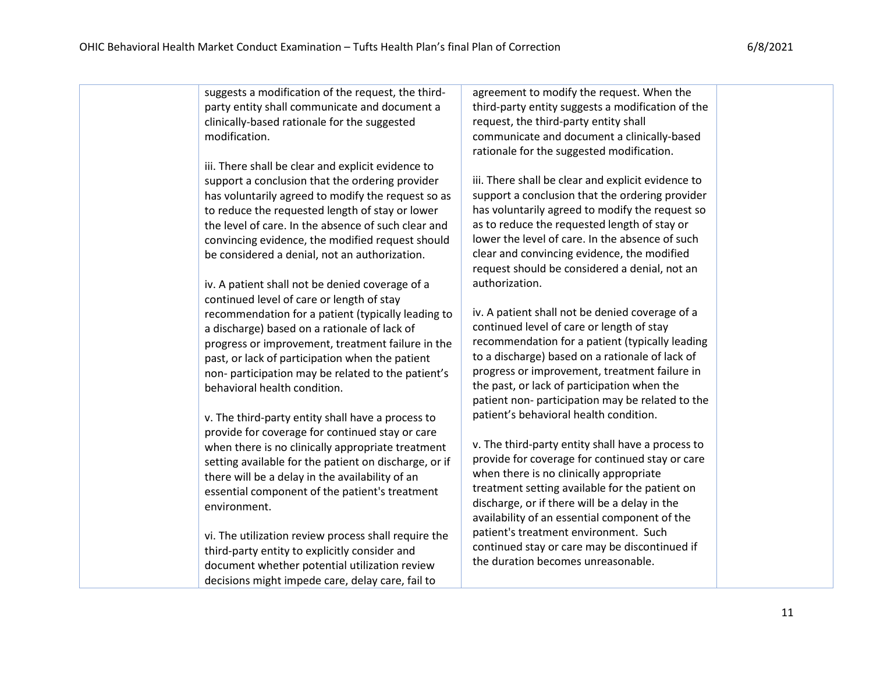| suggests a modification of the request, the third-    | agreement to modify the request. When the          |  |
|-------------------------------------------------------|----------------------------------------------------|--|
| party entity shall communicate and document a         | third-party entity suggests a modification of the  |  |
| clinically-based rationale for the suggested          | request, the third-party entity shall              |  |
| modification.                                         | communicate and document a clinically-based        |  |
|                                                       | rationale for the suggested modification.          |  |
| iii. There shall be clear and explicit evidence to    |                                                    |  |
| support a conclusion that the ordering provider       | iii. There shall be clear and explicit evidence to |  |
| has voluntarily agreed to modify the request so as    | support a conclusion that the ordering provider    |  |
| to reduce the requested length of stay or lower       | has voluntarily agreed to modify the request so    |  |
| the level of care. In the absence of such clear and   | as to reduce the requested length of stay or       |  |
| convincing evidence, the modified request should      | lower the level of care. In the absence of such    |  |
| be considered a denial, not an authorization.         | clear and convincing evidence, the modified        |  |
|                                                       | request should be considered a denial, not an      |  |
| iv. A patient shall not be denied coverage of a       | authorization.                                     |  |
| continued level of care or length of stay             |                                                    |  |
| recommendation for a patient (typically leading to    | iv. A patient shall not be denied coverage of a    |  |
| a discharge) based on a rationale of lack of          | continued level of care or length of stay          |  |
| progress or improvement, treatment failure in the     | recommendation for a patient (typically leading    |  |
| past, or lack of participation when the patient       | to a discharge) based on a rationale of lack of    |  |
| non-participation may be related to the patient's     | progress or improvement, treatment failure in      |  |
| behavioral health condition.                          | the past, or lack of participation when the        |  |
|                                                       | patient non- participation may be related to the   |  |
| v. The third-party entity shall have a process to     | patient's behavioral health condition.             |  |
| provide for coverage for continued stay or care       |                                                    |  |
| when there is no clinically appropriate treatment     | v. The third-party entity shall have a process to  |  |
| setting available for the patient on discharge, or if | provide for coverage for continued stay or care    |  |
| there will be a delay in the availability of an       | when there is no clinically appropriate            |  |
| essential component of the patient's treatment        | treatment setting available for the patient on     |  |
| environment.                                          | discharge, or if there will be a delay in the      |  |
|                                                       | availability of an essential component of the      |  |
| vi. The utilization review process shall require the  | patient's treatment environment. Such              |  |
| third-party entity to explicitly consider and         | continued stay or care may be discontinued if      |  |
| document whether potential utilization review         | the duration becomes unreasonable.                 |  |
| decisions might impede care, delay care, fail to      |                                                    |  |
|                                                       |                                                    |  |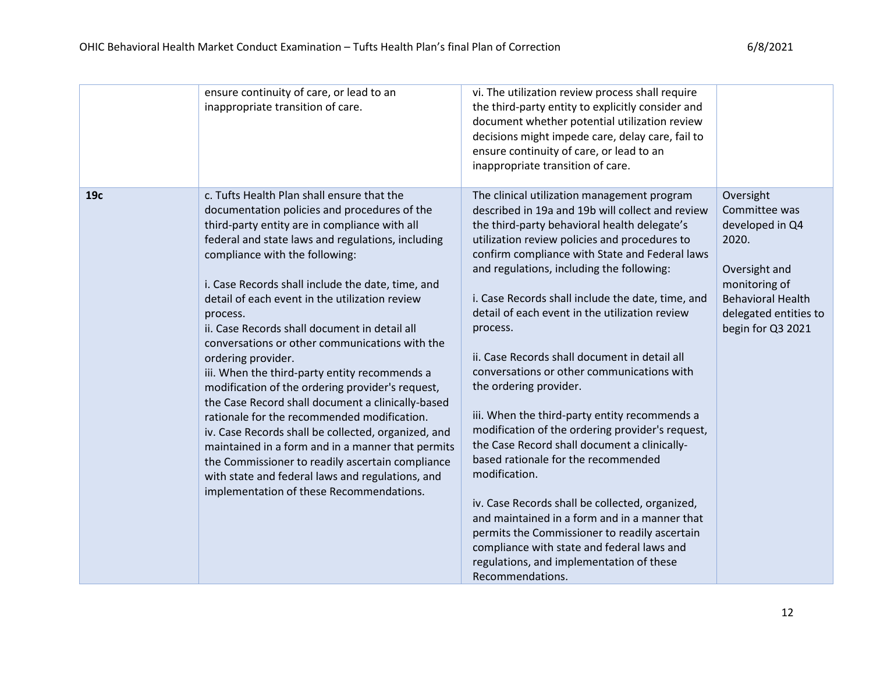|     | ensure continuity of care, or lead to an<br>inappropriate transition of care.                                                                                                                                                                                                                                                                                                                                                                                                                                                                                                                                                                                                                                                                                                                                                                                                                                                                           | vi. The utilization review process shall require<br>the third-party entity to explicitly consider and<br>document whether potential utilization review<br>decisions might impede care, delay care, fail to<br>ensure continuity of care, or lead to an<br>inappropriate transition of care.                                                                                                                                                                                                                                                                                                                                                                                                                                                                                                                                                                                                                                                                                                                                 |                                                                                                                                                                    |
|-----|---------------------------------------------------------------------------------------------------------------------------------------------------------------------------------------------------------------------------------------------------------------------------------------------------------------------------------------------------------------------------------------------------------------------------------------------------------------------------------------------------------------------------------------------------------------------------------------------------------------------------------------------------------------------------------------------------------------------------------------------------------------------------------------------------------------------------------------------------------------------------------------------------------------------------------------------------------|-----------------------------------------------------------------------------------------------------------------------------------------------------------------------------------------------------------------------------------------------------------------------------------------------------------------------------------------------------------------------------------------------------------------------------------------------------------------------------------------------------------------------------------------------------------------------------------------------------------------------------------------------------------------------------------------------------------------------------------------------------------------------------------------------------------------------------------------------------------------------------------------------------------------------------------------------------------------------------------------------------------------------------|--------------------------------------------------------------------------------------------------------------------------------------------------------------------|
| 19c | c. Tufts Health Plan shall ensure that the<br>documentation policies and procedures of the<br>third-party entity are in compliance with all<br>federal and state laws and regulations, including<br>compliance with the following:<br>i. Case Records shall include the date, time, and<br>detail of each event in the utilization review<br>process.<br>ii. Case Records shall document in detail all<br>conversations or other communications with the<br>ordering provider.<br>iii. When the third-party entity recommends a<br>modification of the ordering provider's request,<br>the Case Record shall document a clinically-based<br>rationale for the recommended modification.<br>iv. Case Records shall be collected, organized, and<br>maintained in a form and in a manner that permits<br>the Commissioner to readily ascertain compliance<br>with state and federal laws and regulations, and<br>implementation of these Recommendations. | The clinical utilization management program<br>described in 19a and 19b will collect and review<br>the third-party behavioral health delegate's<br>utilization review policies and procedures to<br>confirm compliance with State and Federal laws<br>and regulations, including the following:<br>i. Case Records shall include the date, time, and<br>detail of each event in the utilization review<br>process.<br>ii. Case Records shall document in detail all<br>conversations or other communications with<br>the ordering provider.<br>iii. When the third-party entity recommends a<br>modification of the ordering provider's request,<br>the Case Record shall document a clinically-<br>based rationale for the recommended<br>modification.<br>iv. Case Records shall be collected, organized,<br>and maintained in a form and in a manner that<br>permits the Commissioner to readily ascertain<br>compliance with state and federal laws and<br>regulations, and implementation of these<br>Recommendations. | Oversight<br>Committee was<br>developed in Q4<br>2020.<br>Oversight and<br>monitoring of<br><b>Behavioral Health</b><br>delegated entities to<br>begin for Q3 2021 |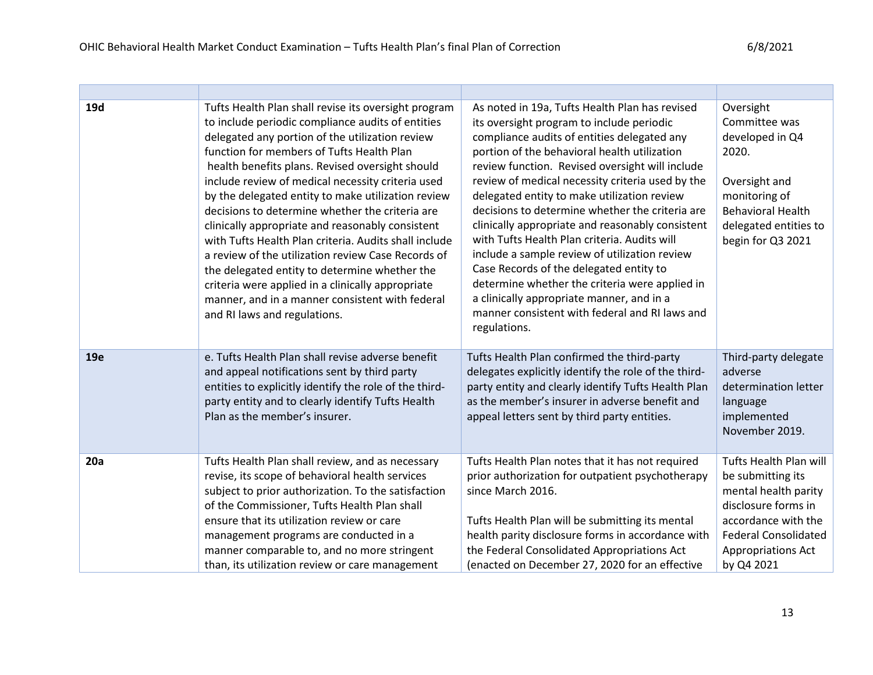| 19d | Tufts Health Plan shall revise its oversight program<br>to include periodic compliance audits of entities<br>delegated any portion of the utilization review<br>function for members of Tufts Health Plan<br>health benefits plans. Revised oversight should<br>include review of medical necessity criteria used<br>by the delegated entity to make utilization review<br>decisions to determine whether the criteria are<br>clinically appropriate and reasonably consistent<br>with Tufts Health Plan criteria. Audits shall include<br>a review of the utilization review Case Records of<br>the delegated entity to determine whether the<br>criteria were applied in a clinically appropriate<br>manner, and in a manner consistent with federal<br>and RI laws and regulations. | As noted in 19a, Tufts Health Plan has revised<br>its oversight program to include periodic<br>compliance audits of entities delegated any<br>portion of the behavioral health utilization<br>review function. Revised oversight will include<br>review of medical necessity criteria used by the<br>delegated entity to make utilization review<br>decisions to determine whether the criteria are<br>clinically appropriate and reasonably consistent<br>with Tufts Health Plan criteria. Audits will<br>include a sample review of utilization review<br>Case Records of the delegated entity to<br>determine whether the criteria were applied in<br>a clinically appropriate manner, and in a<br>manner consistent with federal and RI laws and<br>regulations. | Oversight<br>Committee was<br>developed in Q4<br>2020.<br>Oversight and<br>monitoring of<br><b>Behavioral Health</b><br>delegated entities to<br>begin for Q3 2021                   |
|-----|----------------------------------------------------------------------------------------------------------------------------------------------------------------------------------------------------------------------------------------------------------------------------------------------------------------------------------------------------------------------------------------------------------------------------------------------------------------------------------------------------------------------------------------------------------------------------------------------------------------------------------------------------------------------------------------------------------------------------------------------------------------------------------------|----------------------------------------------------------------------------------------------------------------------------------------------------------------------------------------------------------------------------------------------------------------------------------------------------------------------------------------------------------------------------------------------------------------------------------------------------------------------------------------------------------------------------------------------------------------------------------------------------------------------------------------------------------------------------------------------------------------------------------------------------------------------|--------------------------------------------------------------------------------------------------------------------------------------------------------------------------------------|
| 19e | e. Tufts Health Plan shall revise adverse benefit<br>and appeal notifications sent by third party<br>entities to explicitly identify the role of the third-<br>party entity and to clearly identify Tufts Health<br>Plan as the member's insurer.                                                                                                                                                                                                                                                                                                                                                                                                                                                                                                                                      | Tufts Health Plan confirmed the third-party<br>delegates explicitly identify the role of the third-<br>party entity and clearly identify Tufts Health Plan<br>as the member's insurer in adverse benefit and<br>appeal letters sent by third party entities.                                                                                                                                                                                                                                                                                                                                                                                                                                                                                                         | Third-party delegate<br>adverse<br>determination letter<br>language<br>implemented<br>November 2019.                                                                                 |
| 20a | Tufts Health Plan shall review, and as necessary<br>revise, its scope of behavioral health services<br>subject to prior authorization. To the satisfaction<br>of the Commissioner, Tufts Health Plan shall<br>ensure that its utilization review or care<br>management programs are conducted in a<br>manner comparable to, and no more stringent<br>than, its utilization review or care management                                                                                                                                                                                                                                                                                                                                                                                   | Tufts Health Plan notes that it has not required<br>prior authorization for outpatient psychotherapy<br>since March 2016.<br>Tufts Health Plan will be submitting its mental<br>health parity disclosure forms in accordance with<br>the Federal Consolidated Appropriations Act<br>(enacted on December 27, 2020 for an effective                                                                                                                                                                                                                                                                                                                                                                                                                                   | Tufts Health Plan will<br>be submitting its<br>mental health parity<br>disclosure forms in<br>accordance with the<br><b>Federal Consolidated</b><br>Appropriations Act<br>by Q4 2021 |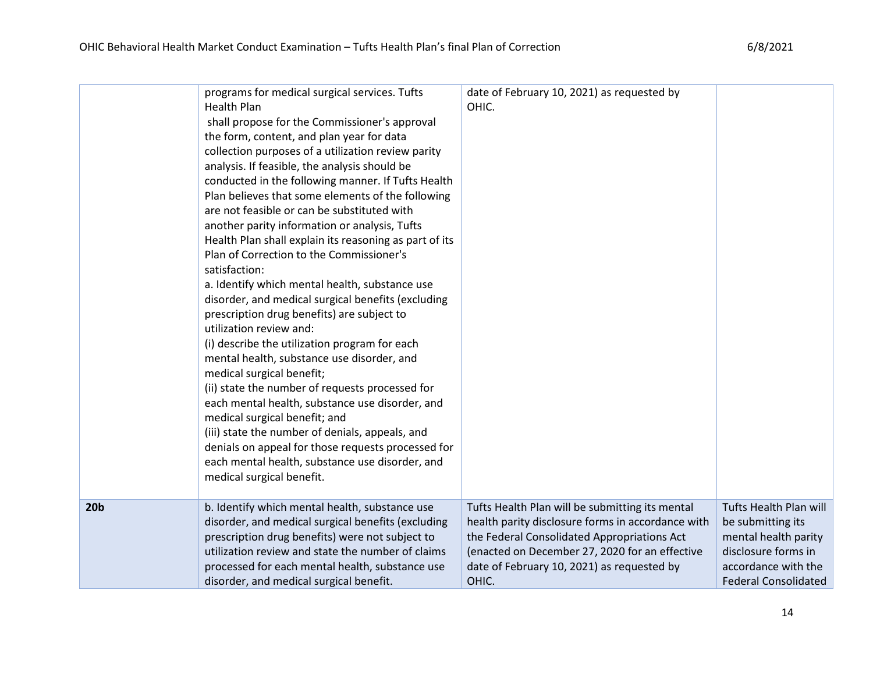|                 | programs for medical surgical services. Tufts<br><b>Health Plan</b><br>shall propose for the Commissioner's approval<br>the form, content, and plan year for data<br>collection purposes of a utilization review parity<br>analysis. If feasible, the analysis should be<br>conducted in the following manner. If Tufts Health<br>Plan believes that some elements of the following<br>are not feasible or can be substituted with<br>another parity information or analysis, Tufts<br>Health Plan shall explain its reasoning as part of its<br>Plan of Correction to the Commissioner's<br>satisfaction:<br>a. Identify which mental health, substance use<br>disorder, and medical surgical benefits (excluding<br>prescription drug benefits) are subject to<br>utilization review and:<br>(i) describe the utilization program for each<br>mental health, substance use disorder, and<br>medical surgical benefit;<br>(ii) state the number of requests processed for<br>each mental health, substance use disorder, and<br>medical surgical benefit; and<br>(iii) state the number of denials, appeals, and<br>denials on appeal for those requests processed for<br>each mental health, substance use disorder, and<br>medical surgical benefit. | date of February 10, 2021) as requested by<br>OHIC. |                             |
|-----------------|---------------------------------------------------------------------------------------------------------------------------------------------------------------------------------------------------------------------------------------------------------------------------------------------------------------------------------------------------------------------------------------------------------------------------------------------------------------------------------------------------------------------------------------------------------------------------------------------------------------------------------------------------------------------------------------------------------------------------------------------------------------------------------------------------------------------------------------------------------------------------------------------------------------------------------------------------------------------------------------------------------------------------------------------------------------------------------------------------------------------------------------------------------------------------------------------------------------------------------------------------------|-----------------------------------------------------|-----------------------------|
| 20 <sub>b</sub> | b. Identify which mental health, substance use                                                                                                                                                                                                                                                                                                                                                                                                                                                                                                                                                                                                                                                                                                                                                                                                                                                                                                                                                                                                                                                                                                                                                                                                          | Tufts Health Plan will be submitting its mental     | Tufts Health Plan will      |
|                 | disorder, and medical surgical benefits (excluding                                                                                                                                                                                                                                                                                                                                                                                                                                                                                                                                                                                                                                                                                                                                                                                                                                                                                                                                                                                                                                                                                                                                                                                                      | health parity disclosure forms in accordance with   | be submitting its           |
|                 | prescription drug benefits) were not subject to                                                                                                                                                                                                                                                                                                                                                                                                                                                                                                                                                                                                                                                                                                                                                                                                                                                                                                                                                                                                                                                                                                                                                                                                         | the Federal Consolidated Appropriations Act         | mental health parity        |
|                 | utilization review and state the number of claims                                                                                                                                                                                                                                                                                                                                                                                                                                                                                                                                                                                                                                                                                                                                                                                                                                                                                                                                                                                                                                                                                                                                                                                                       | (enacted on December 27, 2020 for an effective      | disclosure forms in         |
|                 | processed for each mental health, substance use                                                                                                                                                                                                                                                                                                                                                                                                                                                                                                                                                                                                                                                                                                                                                                                                                                                                                                                                                                                                                                                                                                                                                                                                         | date of February 10, 2021) as requested by          | accordance with the         |
|                 | disorder, and medical surgical benefit.                                                                                                                                                                                                                                                                                                                                                                                                                                                                                                                                                                                                                                                                                                                                                                                                                                                                                                                                                                                                                                                                                                                                                                                                                 | OHIC.                                               | <b>Federal Consolidated</b> |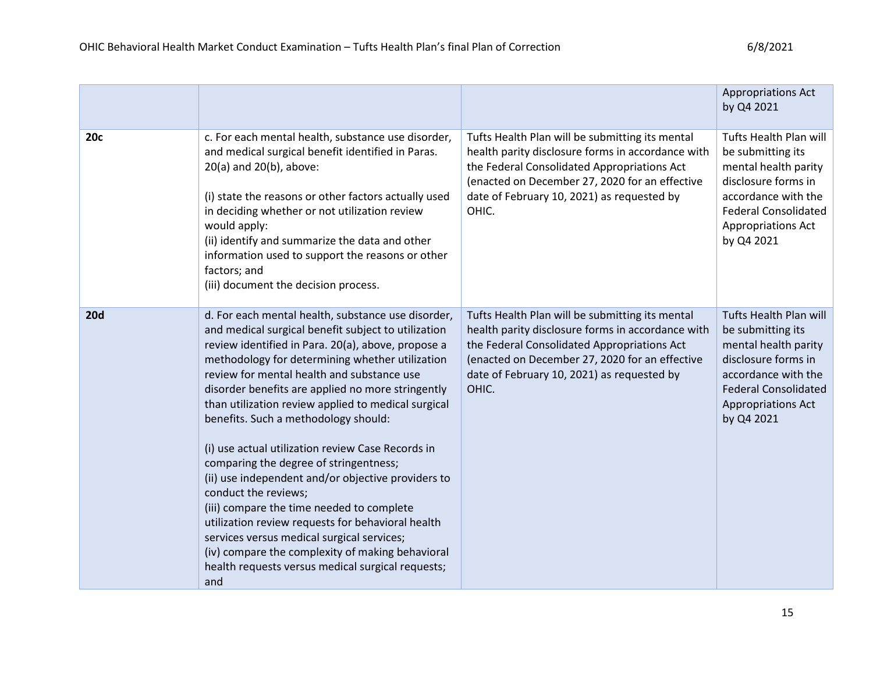|            |                                                                                                                                                                                                                                                                                                                                                                                                                                                                                                                                                                                                                                                                                                                                                                                                                                                                   |                                                                                                                                                                                                                                                              | <b>Appropriations Act</b><br>by Q4 2021                                                                                                                                              |
|------------|-------------------------------------------------------------------------------------------------------------------------------------------------------------------------------------------------------------------------------------------------------------------------------------------------------------------------------------------------------------------------------------------------------------------------------------------------------------------------------------------------------------------------------------------------------------------------------------------------------------------------------------------------------------------------------------------------------------------------------------------------------------------------------------------------------------------------------------------------------------------|--------------------------------------------------------------------------------------------------------------------------------------------------------------------------------------------------------------------------------------------------------------|--------------------------------------------------------------------------------------------------------------------------------------------------------------------------------------|
| <b>20c</b> | c. For each mental health, substance use disorder,<br>and medical surgical benefit identified in Paras.<br>20(a) and 20(b), above:<br>(i) state the reasons or other factors actually used<br>in deciding whether or not utilization review<br>would apply:<br>(ii) identify and summarize the data and other<br>information used to support the reasons or other<br>factors; and<br>(iii) document the decision process.                                                                                                                                                                                                                                                                                                                                                                                                                                         | Tufts Health Plan will be submitting its mental<br>health parity disclosure forms in accordance with<br>the Federal Consolidated Appropriations Act<br>(enacted on December 27, 2020 for an effective<br>date of February 10, 2021) as requested by<br>OHIC. | Tufts Health Plan will<br>be submitting its<br>mental health parity<br>disclosure forms in<br>accordance with the<br><b>Federal Consolidated</b><br>Appropriations Act<br>by Q4 2021 |
| <b>20d</b> | d. For each mental health, substance use disorder,<br>and medical surgical benefit subject to utilization<br>review identified in Para. 20(a), above, propose a<br>methodology for determining whether utilization<br>review for mental health and substance use<br>disorder benefits are applied no more stringently<br>than utilization review applied to medical surgical<br>benefits. Such a methodology should:<br>(i) use actual utilization review Case Records in<br>comparing the degree of stringentness;<br>(ii) use independent and/or objective providers to<br>conduct the reviews;<br>(iii) compare the time needed to complete<br>utilization review requests for behavioral health<br>services versus medical surgical services;<br>(iv) compare the complexity of making behavioral<br>health requests versus medical surgical requests;<br>and | Tufts Health Plan will be submitting its mental<br>health parity disclosure forms in accordance with<br>the Federal Consolidated Appropriations Act<br>(enacted on December 27, 2020 for an effective<br>date of February 10, 2021) as requested by<br>OHIC. | Tufts Health Plan will<br>be submitting its<br>mental health parity<br>disclosure forms in<br>accordance with the<br><b>Federal Consolidated</b><br>Appropriations Act<br>by Q4 2021 |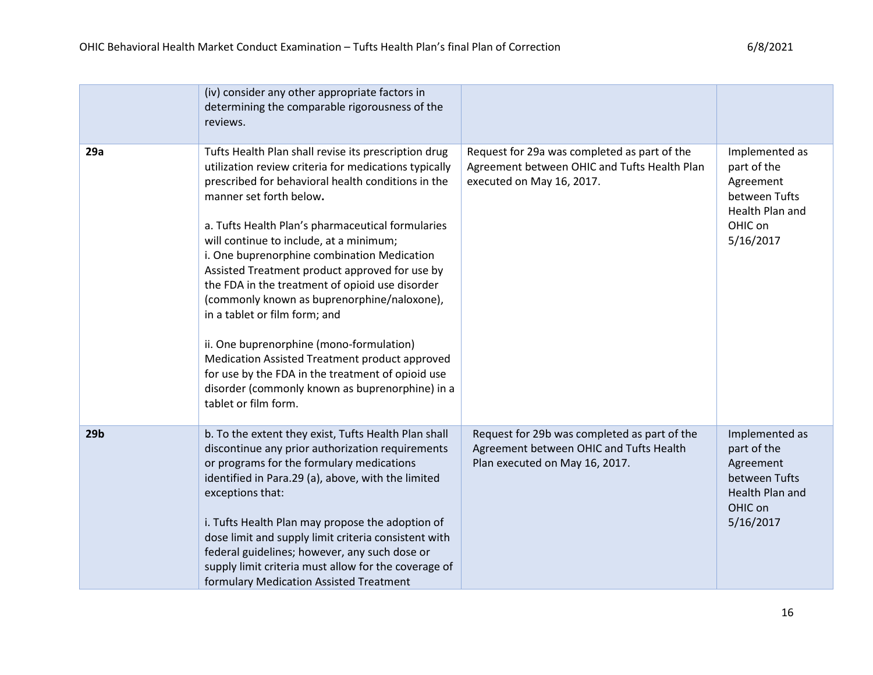|                 | (iv) consider any other appropriate factors in<br>determining the comparable rigorousness of the<br>reviews.                                                                                                                                                                                                                                                                                                                                                                                                                                                                                                                                                                                                                                                     |                                                                                                                           |                                                                                                        |
|-----------------|------------------------------------------------------------------------------------------------------------------------------------------------------------------------------------------------------------------------------------------------------------------------------------------------------------------------------------------------------------------------------------------------------------------------------------------------------------------------------------------------------------------------------------------------------------------------------------------------------------------------------------------------------------------------------------------------------------------------------------------------------------------|---------------------------------------------------------------------------------------------------------------------------|--------------------------------------------------------------------------------------------------------|
| 29a             | Tufts Health Plan shall revise its prescription drug<br>utilization review criteria for medications typically<br>prescribed for behavioral health conditions in the<br>manner set forth below.<br>a. Tufts Health Plan's pharmaceutical formularies<br>will continue to include, at a minimum;<br>i. One buprenorphine combination Medication<br>Assisted Treatment product approved for use by<br>the FDA in the treatment of opioid use disorder<br>(commonly known as buprenorphine/naloxone),<br>in a tablet or film form; and<br>ii. One buprenorphine (mono-formulation)<br>Medication Assisted Treatment product approved<br>for use by the FDA in the treatment of opioid use<br>disorder (commonly known as buprenorphine) in a<br>tablet or film form. | Request for 29a was completed as part of the<br>Agreement between OHIC and Tufts Health Plan<br>executed on May 16, 2017. | Implemented as<br>part of the<br>Agreement<br>between Tufts<br>Health Plan and<br>OHIC on<br>5/16/2017 |
| 29 <sub>b</sub> | b. To the extent they exist, Tufts Health Plan shall<br>discontinue any prior authorization requirements<br>or programs for the formulary medications<br>identified in Para.29 (a), above, with the limited<br>exceptions that:<br>i. Tufts Health Plan may propose the adoption of<br>dose limit and supply limit criteria consistent with<br>federal guidelines; however, any such dose or<br>supply limit criteria must allow for the coverage of<br>formulary Medication Assisted Treatment                                                                                                                                                                                                                                                                  | Request for 29b was completed as part of the<br>Agreement between OHIC and Tufts Health<br>Plan executed on May 16, 2017. | Implemented as<br>part of the<br>Agreement<br>between Tufts<br>Health Plan and<br>OHIC on<br>5/16/2017 |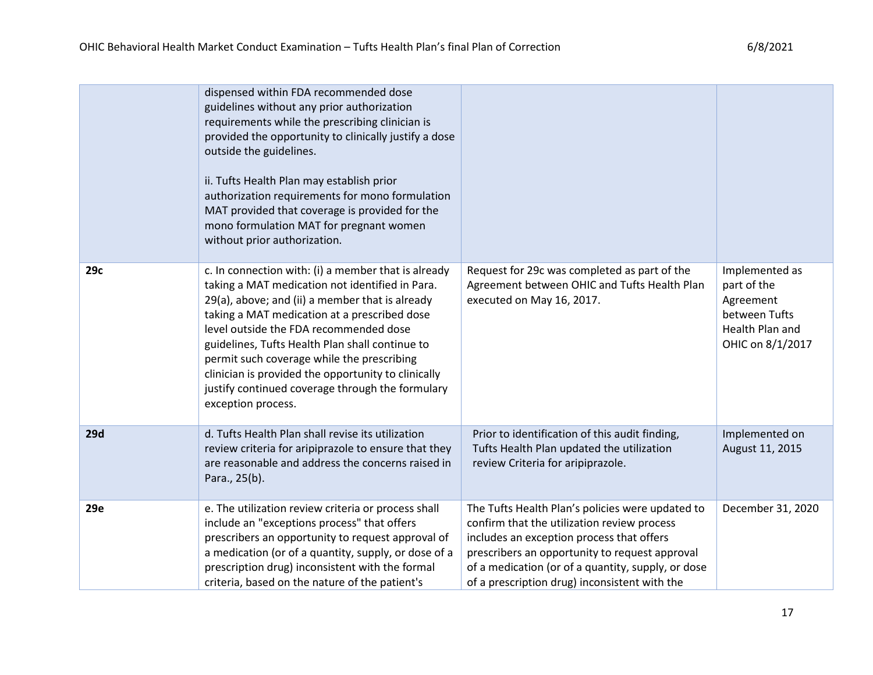|     | dispensed within FDA recommended dose<br>guidelines without any prior authorization<br>requirements while the prescribing clinician is<br>provided the opportunity to clinically justify a dose<br>outside the guidelines.<br>ii. Tufts Health Plan may establish prior<br>authorization requirements for mono formulation<br>MAT provided that coverage is provided for the<br>mono formulation MAT for pregnant women<br>without prior authorization.                               |                                                                                                                                                                                                                                                                                                       |                                                                                                    |
|-----|---------------------------------------------------------------------------------------------------------------------------------------------------------------------------------------------------------------------------------------------------------------------------------------------------------------------------------------------------------------------------------------------------------------------------------------------------------------------------------------|-------------------------------------------------------------------------------------------------------------------------------------------------------------------------------------------------------------------------------------------------------------------------------------------------------|----------------------------------------------------------------------------------------------------|
| 29c | c. In connection with: (i) a member that is already<br>taking a MAT medication not identified in Para.<br>29(a), above; and (ii) a member that is already<br>taking a MAT medication at a prescribed dose<br>level outside the FDA recommended dose<br>guidelines, Tufts Health Plan shall continue to<br>permit such coverage while the prescribing<br>clinician is provided the opportunity to clinically<br>justify continued coverage through the formulary<br>exception process. | Request for 29c was completed as part of the<br>Agreement between OHIC and Tufts Health Plan<br>executed on May 16, 2017.                                                                                                                                                                             | Implemented as<br>part of the<br>Agreement<br>between Tufts<br>Health Plan and<br>OHIC on 8/1/2017 |
| 29d | d. Tufts Health Plan shall revise its utilization<br>review criteria for aripiprazole to ensure that they<br>are reasonable and address the concerns raised in<br>Para., 25(b).                                                                                                                                                                                                                                                                                                       | Prior to identification of this audit finding,<br>Tufts Health Plan updated the utilization<br>review Criteria for aripiprazole.                                                                                                                                                                      | Implemented on<br>August 11, 2015                                                                  |
| 29e | e. The utilization review criteria or process shall<br>include an "exceptions process" that offers<br>prescribers an opportunity to request approval of<br>a medication (or of a quantity, supply, or dose of a<br>prescription drug) inconsistent with the formal<br>criteria, based on the nature of the patient's                                                                                                                                                                  | The Tufts Health Plan's policies were updated to<br>confirm that the utilization review process<br>includes an exception process that offers<br>prescribers an opportunity to request approval<br>of a medication (or of a quantity, supply, or dose<br>of a prescription drug) inconsistent with the | December 31, 2020                                                                                  |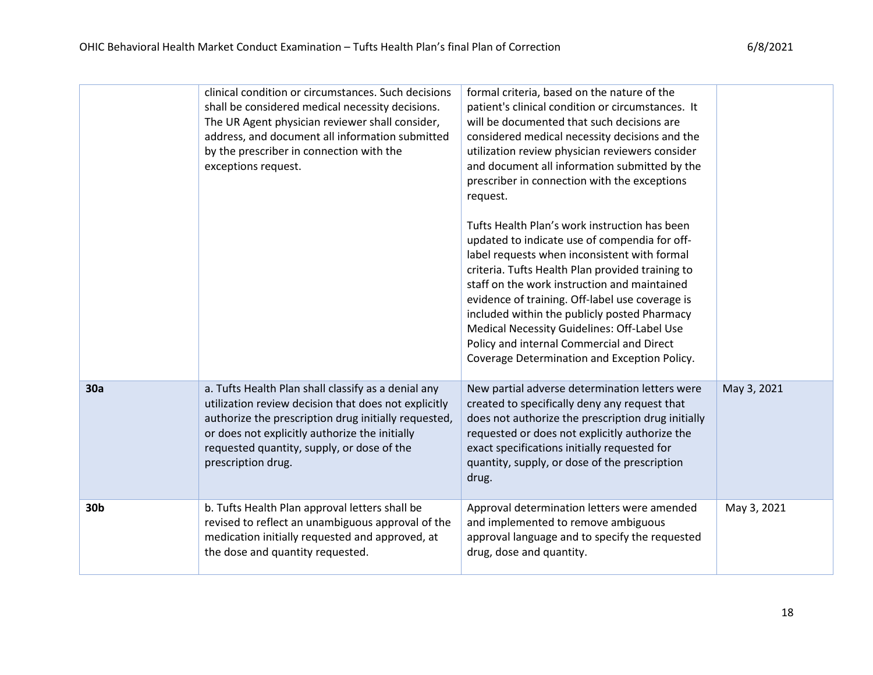|                 | clinical condition or circumstances. Such decisions<br>shall be considered medical necessity decisions.<br>The UR Agent physician reviewer shall consider,<br>address, and document all information submitted<br>by the prescriber in connection with the<br>exceptions request.          | formal criteria, based on the nature of the<br>patient's clinical condition or circumstances. It<br>will be documented that such decisions are<br>considered medical necessity decisions and the<br>utilization review physician reviewers consider<br>and document all information submitted by the<br>prescriber in connection with the exceptions<br>request.<br>Tufts Health Plan's work instruction has been<br>updated to indicate use of compendia for off-<br>label requests when inconsistent with formal<br>criteria. Tufts Health Plan provided training to<br>staff on the work instruction and maintained<br>evidence of training. Off-label use coverage is<br>included within the publicly posted Pharmacy<br>Medical Necessity Guidelines: Off-Label Use<br>Policy and internal Commercial and Direct<br>Coverage Determination and Exception Policy. |             |
|-----------------|-------------------------------------------------------------------------------------------------------------------------------------------------------------------------------------------------------------------------------------------------------------------------------------------|-----------------------------------------------------------------------------------------------------------------------------------------------------------------------------------------------------------------------------------------------------------------------------------------------------------------------------------------------------------------------------------------------------------------------------------------------------------------------------------------------------------------------------------------------------------------------------------------------------------------------------------------------------------------------------------------------------------------------------------------------------------------------------------------------------------------------------------------------------------------------|-------------|
| 30a             | a. Tufts Health Plan shall classify as a denial any<br>utilization review decision that does not explicitly<br>authorize the prescription drug initially requested,<br>or does not explicitly authorize the initially<br>requested quantity, supply, or dose of the<br>prescription drug. | New partial adverse determination letters were<br>created to specifically deny any request that<br>does not authorize the prescription drug initially<br>requested or does not explicitly authorize the<br>exact specifications initially requested for<br>quantity, supply, or dose of the prescription<br>drug.                                                                                                                                                                                                                                                                                                                                                                                                                                                                                                                                                     | May 3, 2021 |
| 30 <sub>b</sub> | b. Tufts Health Plan approval letters shall be<br>revised to reflect an unambiguous approval of the<br>medication initially requested and approved, at<br>the dose and quantity requested.                                                                                                | Approval determination letters were amended<br>and implemented to remove ambiguous<br>approval language and to specify the requested<br>drug, dose and quantity.                                                                                                                                                                                                                                                                                                                                                                                                                                                                                                                                                                                                                                                                                                      | May 3, 2021 |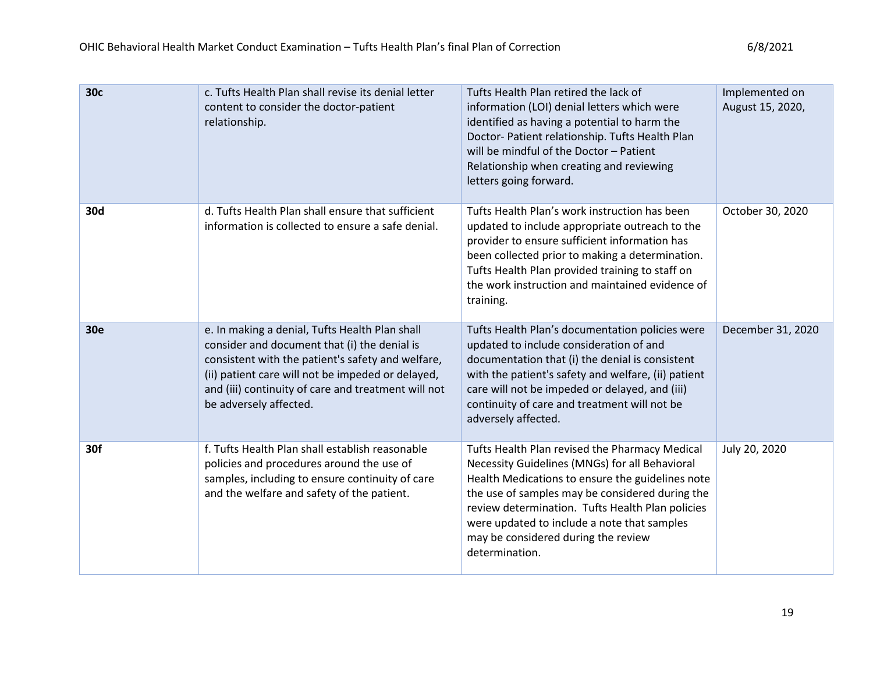| 30c        | c. Tufts Health Plan shall revise its denial letter<br>content to consider the doctor-patient<br>relationship.                                                                                                                                                                            | Tufts Health Plan retired the lack of<br>information (LOI) denial letters which were<br>identified as having a potential to harm the<br>Doctor- Patient relationship. Tufts Health Plan<br>will be mindful of the Doctor - Patient<br>Relationship when creating and reviewing<br>letters going forward.                                                            | Implemented on<br>August 15, 2020, |
|------------|-------------------------------------------------------------------------------------------------------------------------------------------------------------------------------------------------------------------------------------------------------------------------------------------|---------------------------------------------------------------------------------------------------------------------------------------------------------------------------------------------------------------------------------------------------------------------------------------------------------------------------------------------------------------------|------------------------------------|
| 30d        | d. Tufts Health Plan shall ensure that sufficient<br>information is collected to ensure a safe denial.                                                                                                                                                                                    | Tufts Health Plan's work instruction has been<br>updated to include appropriate outreach to the<br>provider to ensure sufficient information has<br>been collected prior to making a determination.<br>Tufts Health Plan provided training to staff on<br>the work instruction and maintained evidence of<br>training.                                              | October 30, 2020                   |
| <b>30e</b> | e. In making a denial, Tufts Health Plan shall<br>consider and document that (i) the denial is<br>consistent with the patient's safety and welfare,<br>(ii) patient care will not be impeded or delayed,<br>and (iii) continuity of care and treatment will not<br>be adversely affected. | Tufts Health Plan's documentation policies were<br>updated to include consideration of and<br>documentation that (i) the denial is consistent<br>with the patient's safety and welfare, (ii) patient<br>care will not be impeded or delayed, and (iii)<br>continuity of care and treatment will not be<br>adversely affected.                                       | December 31, 2020                  |
| 30f        | f. Tufts Health Plan shall establish reasonable<br>policies and procedures around the use of<br>samples, including to ensure continuity of care<br>and the welfare and safety of the patient.                                                                                             | Tufts Health Plan revised the Pharmacy Medical<br>Necessity Guidelines (MNGs) for all Behavioral<br>Health Medications to ensure the guidelines note<br>the use of samples may be considered during the<br>review determination. Tufts Health Plan policies<br>were updated to include a note that samples<br>may be considered during the review<br>determination. | July 20, 2020                      |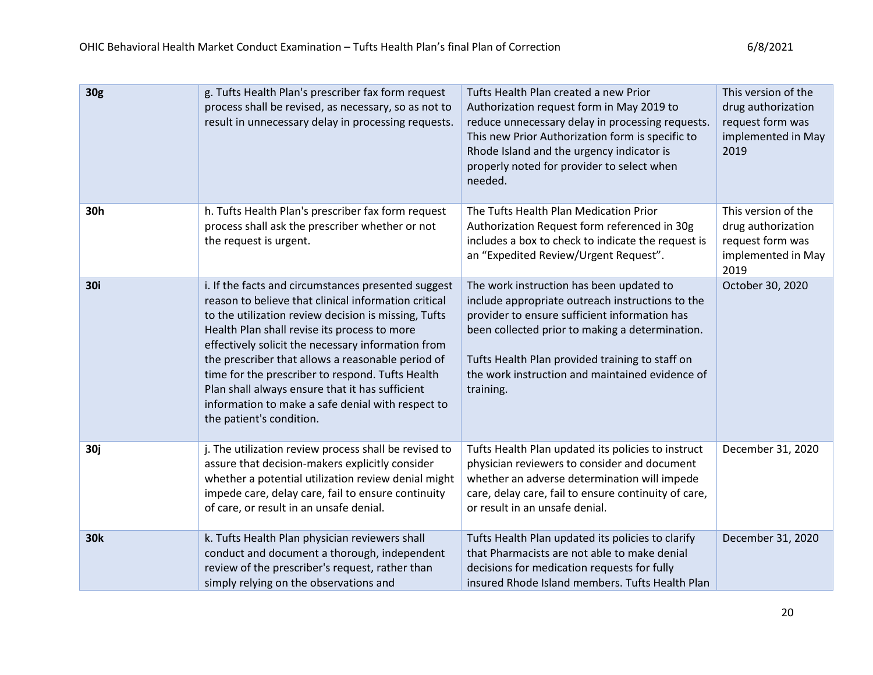| 30g        | g. Tufts Health Plan's prescriber fax form request<br>process shall be revised, as necessary, so as not to<br>result in unnecessary delay in processing requests.                                                                                                                                                                                                                                                                                                                                                      | Tufts Health Plan created a new Prior<br>Authorization request form in May 2019 to<br>reduce unnecessary delay in processing requests.<br>This new Prior Authorization form is specific to<br>Rhode Island and the urgency indicator is<br>properly noted for provider to select when<br>needed.                    | This version of the<br>drug authorization<br>request form was<br>implemented in May<br>2019 |
|------------|------------------------------------------------------------------------------------------------------------------------------------------------------------------------------------------------------------------------------------------------------------------------------------------------------------------------------------------------------------------------------------------------------------------------------------------------------------------------------------------------------------------------|---------------------------------------------------------------------------------------------------------------------------------------------------------------------------------------------------------------------------------------------------------------------------------------------------------------------|---------------------------------------------------------------------------------------------|
| 30h        | h. Tufts Health Plan's prescriber fax form request<br>process shall ask the prescriber whether or not<br>the request is urgent.                                                                                                                                                                                                                                                                                                                                                                                        | The Tufts Health Plan Medication Prior<br>Authorization Request form referenced in 30g<br>includes a box to check to indicate the request is<br>an "Expedited Review/Urgent Request".                                                                                                                               | This version of the<br>drug authorization<br>request form was<br>implemented in May<br>2019 |
| 30i        | i. If the facts and circumstances presented suggest<br>reason to believe that clinical information critical<br>to the utilization review decision is missing, Tufts<br>Health Plan shall revise its process to more<br>effectively solicit the necessary information from<br>the prescriber that allows a reasonable period of<br>time for the prescriber to respond. Tufts Health<br>Plan shall always ensure that it has sufficient<br>information to make a safe denial with respect to<br>the patient's condition. | The work instruction has been updated to<br>include appropriate outreach instructions to the<br>provider to ensure sufficient information has<br>been collected prior to making a determination.<br>Tufts Health Plan provided training to staff on<br>the work instruction and maintained evidence of<br>training. | October 30, 2020                                                                            |
| 30j        | j. The utilization review process shall be revised to<br>assure that decision-makers explicitly consider<br>whether a potential utilization review denial might<br>impede care, delay care, fail to ensure continuity<br>of care, or result in an unsafe denial.                                                                                                                                                                                                                                                       | Tufts Health Plan updated its policies to instruct<br>physician reviewers to consider and document<br>whether an adverse determination will impede<br>care, delay care, fail to ensure continuity of care,<br>or result in an unsafe denial.                                                                        | December 31, 2020                                                                           |
| <b>30k</b> | k. Tufts Health Plan physician reviewers shall<br>conduct and document a thorough, independent<br>review of the prescriber's request, rather than<br>simply relying on the observations and                                                                                                                                                                                                                                                                                                                            | Tufts Health Plan updated its policies to clarify<br>that Pharmacists are not able to make denial<br>decisions for medication requests for fully<br>insured Rhode Island members. Tufts Health Plan                                                                                                                 | December 31, 2020                                                                           |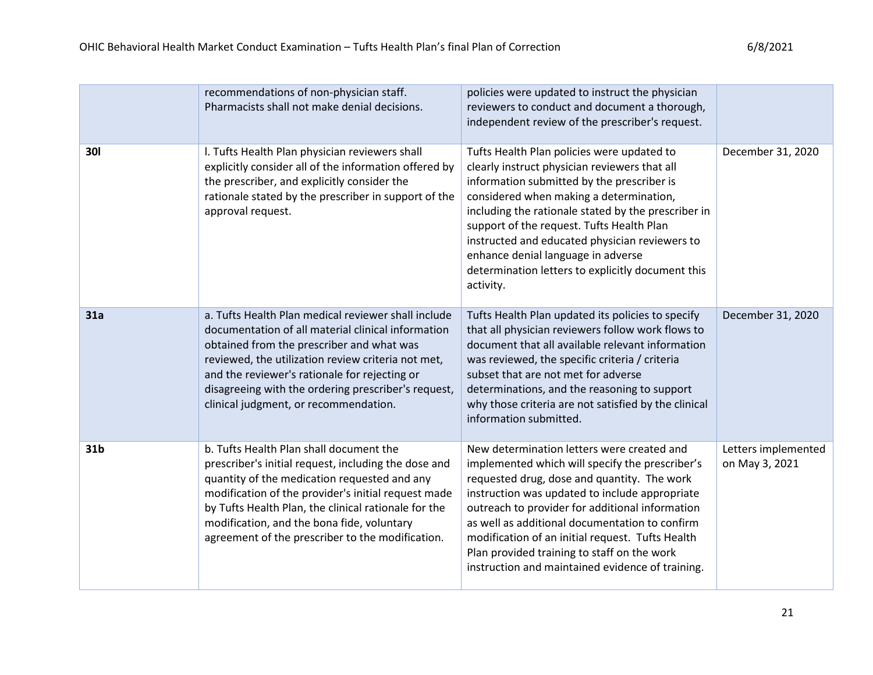|                 | recommendations of non-physician staff.<br>Pharmacists shall not make denial decisions.                                                                                                                                                                                                                                                                          | policies were updated to instruct the physician<br>reviewers to conduct and document a thorough,<br>independent review of the prescriber's request.                                                                                                                                                                                                                                                                                                        |                                       |
|-----------------|------------------------------------------------------------------------------------------------------------------------------------------------------------------------------------------------------------------------------------------------------------------------------------------------------------------------------------------------------------------|------------------------------------------------------------------------------------------------------------------------------------------------------------------------------------------------------------------------------------------------------------------------------------------------------------------------------------------------------------------------------------------------------------------------------------------------------------|---------------------------------------|
| <b>301</b>      | I. Tufts Health Plan physician reviewers shall<br>explicitly consider all of the information offered by<br>the prescriber, and explicitly consider the<br>rationale stated by the prescriber in support of the<br>approval request.                                                                                                                              | Tufts Health Plan policies were updated to<br>clearly instruct physician reviewers that all<br>information submitted by the prescriber is<br>considered when making a determination,<br>including the rationale stated by the prescriber in<br>support of the request. Tufts Health Plan<br>instructed and educated physician reviewers to<br>enhance denial language in adverse<br>determination letters to explicitly document this<br>activity.         | December 31, 2020                     |
| 31a             | a. Tufts Health Plan medical reviewer shall include<br>documentation of all material clinical information<br>obtained from the prescriber and what was<br>reviewed, the utilization review criteria not met,<br>and the reviewer's rationale for rejecting or<br>disagreeing with the ordering prescriber's request,<br>clinical judgment, or recommendation.    | Tufts Health Plan updated its policies to specify<br>that all physician reviewers follow work flows to<br>document that all available relevant information<br>was reviewed, the specific criteria / criteria<br>subset that are not met for adverse<br>determinations, and the reasoning to support<br>why those criteria are not satisfied by the clinical<br>information submitted.                                                                      | December 31, 2020                     |
| 31 <sub>b</sub> | b. Tufts Health Plan shall document the<br>prescriber's initial request, including the dose and<br>quantity of the medication requested and any<br>modification of the provider's initial request made<br>by Tufts Health Plan, the clinical rationale for the<br>modification, and the bona fide, voluntary<br>agreement of the prescriber to the modification. | New determination letters were created and<br>implemented which will specify the prescriber's<br>requested drug, dose and quantity. The work<br>instruction was updated to include appropriate<br>outreach to provider for additional information<br>as well as additional documentation to confirm<br>modification of an initial request. Tufts Health<br>Plan provided training to staff on the work<br>instruction and maintained evidence of training. | Letters implemented<br>on May 3, 2021 |